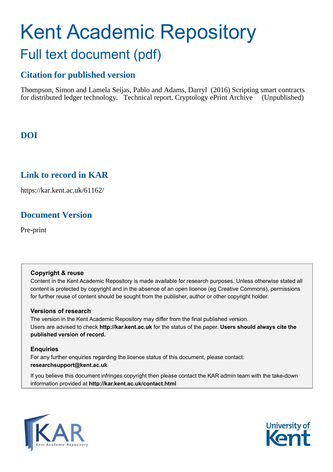# Kent Academic Repository Full text document (pdf)

# **Citation for published version**

Thompson, Simon and Lamela Seijas, Pablo and Adams, Darryl (2016) Scripting smart contracts for distributed ledger technology. Technical report. Cryptology ePrint Archive (Unpublished)

# **DOI**

# **Link to record in KAR**

https://kar.kent.ac.uk/61162/

# **Document Version**

Pre-print

# **Copyright & reuse**

Content in the Kent Academic Repository is made available for research purposes. Unless otherwise stated all content is protected by copyright and in the absence of an open licence (eg Creative Commons), permissions for further reuse of content should be sought from the publisher, author or other copyright holder.

# **Versions of research**

The version in the Kent Academic Repository may differ from the final published version. Users are advised to check **http://kar.kent.ac.uk** for the status of the paper. **Users should always cite the published version of record.**

# **Enquiries**

For any further enquiries regarding the licence status of this document, please contact: **researchsupport@kent.ac.uk**

If you believe this document infringes copyright then please contact the KAR admin team with the take-down information provided at **http://kar.kent.ac.uk/contact.html**



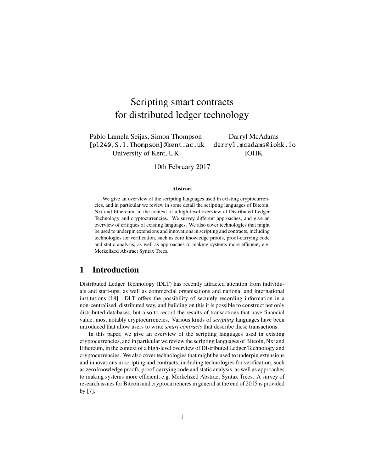# Scripting smart contracts for distributed ledger technology

Pablo Lamela Seijas, Simon Thompson Darryl McAdams {pl240,S.J.Thompson}@kent.ac.uk darryl.mcadams@iohk.io University of Kent, UK IOHK

10th February 2017

#### **Abstract**

We give an overview of the scripting languages used in existing cryptocurrencies, and in particular we review in some detail the scripting languages of Bitcoin, Nxt and Ethereum, in the context of a high-level overview of Distributed Ledger Technology and cryptocurrencies. We survey different approaches, and give an overview of critiques of existing languages. We also cover technologies that might be used to underpin extensions and innovations in scripting and contracts, including technologies for verification, such as zero knowledge proofs, proof-carrying code and static analysis, as well as approaches to making systems more efficient, e.g. Merkelized Abstract Syntax Trees.

# **1 Introduction**

Distributed Ledger Technology (DLT) has recently attracted attention from individuals and start-ups, as well as commercial organisations and national and international institutions [18]. DLT offers the possibility of securely recording information in a non-centralised, distributed way, and building on this it is possible to construct not only distributed databases, but also to record the results of transactions that have financial value, most notably cryptocurrencies. Various kinds of *scripting* languages have been introduced that allow users to write *smart contracts* that describe these transactions.

In this paper, we give an overview of the scripting languages used in existing cryptocurrencies, and in particular we review the scripting languages of Bitcoin, Nxt and Ethereum, in the context of a high-level overview of Distributed Ledger Technology and cryptocurrencies. We also cover technologies that might be used to underpin extensions and innovations in scripting and contracts, including technologies for verification, such as zero knowledge proofs, proof-carrying code and static analysis, as well as approaches to making systems more efficient, e.g. Merkelized Abstract Syntax Trees. A survey of research issues for Bitcoin and cryptocurrencies in general at the end of 2015 is provided by [7].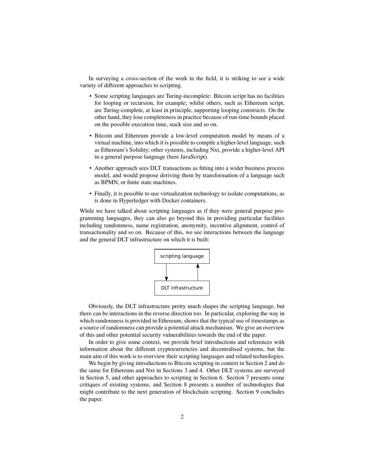In surveying a cross-section of the work in the field, it is striking to see a wide variety of different approaches to scripting.

- Some scripting languages are Turing-incomplete: Bitcoin script has no facilities for looping or recursion, for example; whilst others, such as Ethereum script, are Turing-complete, at least in principle, supporting looping constructs. On the other hand, they lose completeness in practice because of run-time bounds placed on the possible execution time, stack size and so on.
- Bitcoin and Ethereum provide a low-level computation model by means of a virtual machine, into which it is possible to compile a higher-level language, such as Ethereum's Solidity; other systems, including Nxt, provide a higher-level API in a general purpose language (here JavaScript).
- Another approach sees DLT transactions as fitting into a wider business process model, and would propose deriving them by transformation of a language such as BPMN, or finite state machines.
- Finally, it is possible to use virtualization technology to isolate computations, as is done in Hyperledger with Docker containers.

While we have talked about scripting languages as if they were general purpose programming languages, they can also go beyond this in providing particular facilities including randomness, name registration, anonymity, incentive alignment, control of transactionality and so on. Because of this, we see interactions between the language and the general DLT infrastructure on which it is built:



Obviously, the DLT infrastructure pretty much shapes the scripting language, but there can be interactions in the reverse direction too. In particular, exploring the way in which randomness is provided in Ethereum, shows that the typical use of timestamps as a source of randomness can provide a potential attack mechanism. We give an overview of this and other potential security vulnerabilities towards the end of the paper.

In order to give some context, we provide brief introductions and references with information about the different cryptocurrencies and decentralised systems, but the main aim of this work is to overview their scripting languages and related technologies.

We begin by giving introductions to Bitcoin scripting in context in Section 2 and do the same for Ethereum and Nxt in Sections 3 and 4. Other DLT systems are surveyed in Section 5, and other approaches to scripting in Section 6. Section 7 presents some critiques of existing systems, and Section 8 presents a number of technologies that might contribute to the next generation of blockchain scripting. Section 9 concludes the paper.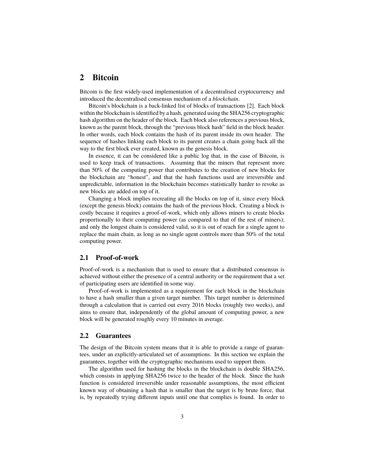## **2 Bitcoin**

Bitcoin is the first widely-used implementation of a decentralised cryptocurrency and introduced the decentralised consensus mechanism of a *blockchain*.

Bitcoin's blockchain is a back-linked list of blocks of transactions [2]. Each block within the blockchain is identified by a hash, generated using the SHA256 cryptographic hash algorithm on the header of the block. Each block also references a previous block, known as the parent block, through the "previous block hash" field in the block header. In other words, each block contains the hash of its parent inside its own header. The sequence of hashes linking each block to its parent creates a chain going back all the way to the first block ever created, known as the genesis block.

In essence, it can be considered like a public log that, in the case of Bitcoin, is used to keep track of transactions. Assuming that the miners that represent more than 50% of the computing power that contributes to the creation of new blocks for the blockchain are "honest", and that the hash functions used are irreversible and unpredictable, information in the blockchain becomes statistically harder to revoke as new blocks are added on top of it.

Changing a block implies recreating all the blocks on top of it, since every block (except the genesis block) contains the hash of the previous block. Creating a block is costly because it requires a proof-of-work, which only allows miners to create blocks proportionally to their computing power (as compared to that of the rest of miners); and only the longest chain is considered valid, so it is out of reach for a single agent to replace the main chain, as long as no single agent controls more than 50% of the total computing power.

#### **2.1 Proof-of-work**

Proof-of-work is a mechanism that is used to ensure that a distributed consensus is achieved without either the presence of a central authority or the requirement that a set of participating users are identified in some way.

Proof-of-work is implemented as a requirement for each block in the blockchain to have a hash smaller than a given target number. This target number is determined through a calculation that is carried out every 2016 blocks (roughly two weeks), and aims to ensure that, independently of the global amount of computing power, a new block will be generated roughly every 10 minutes in average.

#### **2.2 Guarantees**

The design of the Bitcoin system means that it is able to provide a range of guarantees, under an explicitly-articulated set of assumptions. In this section we explain the guarantees, together with the cryptographic mechanisms used to support them.

The algorithm used for hashing the blocks in the blockchain is double SHA256, which consists in applying SHA256 twice to the header of the block. Since the hash function is considered irreversible under reasonable assumptions, the most efficient known way of obtaining a hash that is smaller than the target is by brute force, that is, by repeatedly trying different inputs until one that complies is found. In order to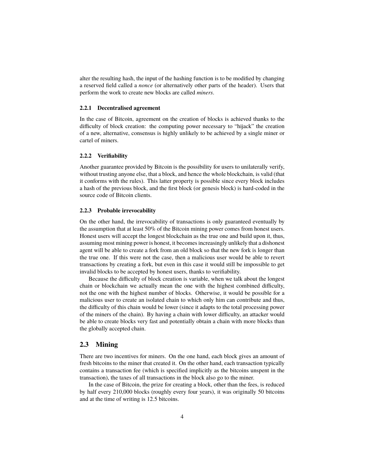alter the resulting hash, the input of the hashing function is to be modified by changing a reserved field called a *nonce* (or alternatively other parts of the header). Users that perform the work to create new blocks are called *miners*.

#### **2.2.1 Decentralised agreement**

In the case of Bitcoin, agreement on the creation of blocks is achieved thanks to the difficulty of block creation: the computing power necessary to "hijack" the creation of a new, alternative, consensus is highly unlikely to be achieved by a single miner or cartel of miners.

#### **2.2.2 Verifiability**

Another guarantee provided by Bitcoin is the possibility for users to unilaterally verify, without trusting anyone else, that a block, and hence the whole blockchain, is valid (that it conforms with the rules). This latter property is possible since every block includes a hash of the previous block, and the first block (or genesis block) is hard-coded in the source code of Bitcoin clients.

#### **2.2.3 Probable irrevocability**

On the other hand, the irrevocability of transactions is only guaranteed eventually by the assumption that at least 50% of the Bitcoin mining power comes from honest users. Honest users will accept the longest blockchain as the true one and build upon it, thus, assuming most mining power is honest, it becomes increasingly unlikely that a dishonest agent will be able to create a fork from an old block so that the new fork is longer than the true one. If this were not the case, then a malicious user would be able to revert transactions by creating a fork, but even in this case it would still be impossible to get invalid blocks to be accepted by honest users, thanks to verifiability.

Because the difficulty of block creation is variable, when we talk about the longest chain or blockchain we actually mean the one with the highest combined difficulty, not the one with the highest number of blocks. Otherwise, it would be possible for a malicious user to create an isolated chain to which only him can contribute and thus, the difficulty of this chain would be lower (since it adapts to the total processing power of the miners of the chain). By having a chain with lower difficulty, an attacker would be able to create blocks very fast and potentially obtain a chain with more blocks than the globally accepted chain.

#### **2.3 Mining**

There are two incentives for miners. On the one hand, each block gives an amount of fresh bitcoins to the miner that created it. On the other hand, each transaction typically contains a transaction fee (which is specified implicitly as the bitcoins unspent in the transaction), the taxes of all transactions in the block also go to the miner.

In the case of Bitcoin, the prize for creating a block, other than the fees, is reduced by half every 210,000 blocks (roughly every four years), it was originally 50 bitcoins and at the time of writing is 12.5 bitcoins.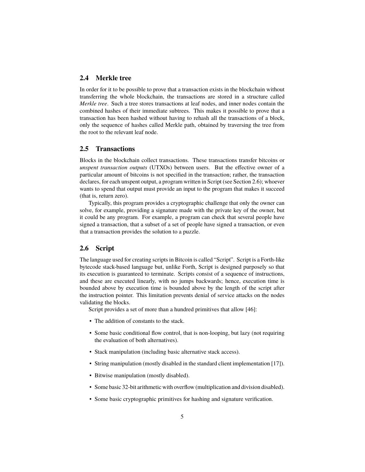## **2.4 Merkle tree**

In order for it to be possible to prove that a transaction exists in the blockchain without transferring the whole blockchain, the transactions are stored in a structure called *Merkle tree*. Such a tree stores transactions at leaf nodes, and inner nodes contain the combined hashes of their immediate subtrees. This makes it possible to prove that a transaction has been hashed without having to rehash all the transactions of a block, only the sequence of hashes called Merkle path, obtained by traversing the tree from the root to the relevant leaf node.

#### **2.5 Transactions**

Blocks in the blockchain collect transactions. These transactions transfer bitcoins or *unspent transaction outputs* (UTXOs) between users. But the effective owner of a particular amount of bitcoins is not specified in the transaction; rather, the transaction declares, for each unspent output, a program written in Script (see Section 2.6); whoever wants to spend that output must provide an input to the program that makes it succeed (that is, return zero).

Typically, this program provides a cryptographic challenge that only the owner can solve, for example, providing a signature made with the private key of the owner, but it could be any program. For example, a program can check that several people have signed a transaction, that a subset of a set of people have signed a transaction, or even that a transaction provides the solution to a puzzle.

#### **2.6 Script**

The language used for creating scripts in Bitcoin is called "Script". Script is a Forth-like bytecode stack-based language but, unlike Forth, Script is designed purposely so that its execution is guaranteed to terminate. Scripts consist of a sequence of instructions, and these are executed linearly, with no jumps backwards; hence, execution time is bounded above by execution time is bounded above by the length of the script after the instruction pointer. This limitation prevents denial of service attacks on the nodes validating the blocks.

Script provides a set of more than a hundred primitives that allow [46]:

- The addition of constants to the stack.
- Some basic conditional flow control, that is non-looping, but lazy (not requiring the evaluation of both alternatives).
- Stack manipulation (including basic alternative stack access).
- String manipulation (mostly disabled in the standard client implementation [17]).
- Bitwise manipulation (mostly disabled).
- Some basic 32-bit arithmetic with overflow (multiplication and division disabled).
- Some basic cryptographic primitives for hashing and signature verification.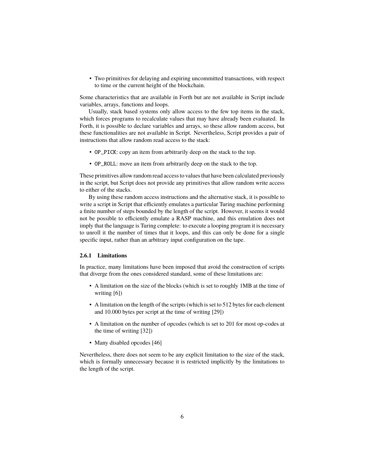• Two primitives for delaying and expiring uncommitted transactions, with respect to time or the current height of the blockchain.

Some characteristics that are available in Forth but are not available in Script include variables, arrays, functions and loops.

Usually, stack based systems only allow access to the few top items in the stack, which forces programs to recalculate values that may have already been evaluated. In Forth, it is possible to declare variables and arrays, so these allow random access, but these functionalities are not available in Script. Nevertheless, Script provides a pair of instructions that allow random read access to the stack:

- OP\_PICK: copy an item from arbitrarily deep on the stack to the top.
- OP\_ROLL: move an item from arbitrarily deep on the stack to the top.

These primitives allow random read access to values that have been calculated previously in the script, but Script does not provide any primitives that allow random write access to either of the stacks.

By using these random access instructions and the alternative stack, it is possible to write a script in Script that efficiently emulates a particular Turing machine performing a finite number of steps bounded by the length of the script. However, it seems it would not be possible to efficiently emulate a RASP machine, and this emulation does not imply that the language is Turing complete: to execute a looping program it is necessary to unroll it the number of times that it loops, and this can only be done for a single specific input, rather than an arbitrary input configuration on the tape.

#### **2.6.1 Limitations**

In practice, many limitations have been imposed that avoid the construction of scripts that diverge from the ones considered standard, some of these limitations are:

- A limitation on the size of the blocks (which is set to roughly 1MB at the time of writing [6])
- A limitation on the length of the scripts (which is set to 512 bytes for each element and 10.000 bytes per script at the time of writing [29])
- A limitation on the number of opcodes (which is set to 201 for most op-codes at the time of writing [32])
- Many disabled opcodes [46]

Nevertheless, there does not seem to be any explicit limitation to the size of the stack, which is formally unnecessary because it is restricted implicitly by the limitations to the length of the script.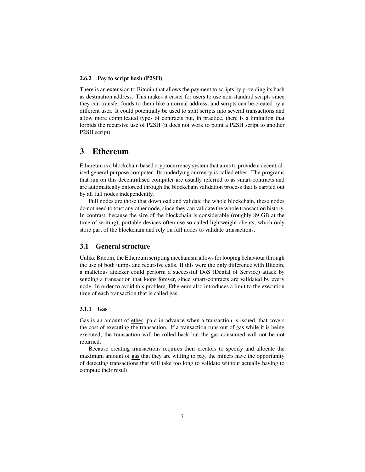#### **2.6.2 Pay to script hash (P2SH)**

There is an extension to Bitcoin that allows the payment to scripts by providing its hash as destination address. This makes it easier for users to use non-standard scripts since they can transfer funds to them like a normal address, and scripts can be created by a different user. It could potentially be used to split scripts into several transactions and allow more complicated types of contracts but, in practice, there is a limitation that forbids the recursive use of P2SH (it does not work to point a P2SH script to another P2SH script).

# **3 Ethereum**

Ethereum is a blockchain based cryptocurrency system that aims to provide a decentralised general purpose computer. Its underlying currency is called ether. The programs that run on this decentralised computer are usually referred to as smart-contracts and are automatically enforced through the blockchain validation process that is carried out by all full nodes independently.

Full nodes are those that download and validate the whole blockchain, these nodes do not need to trust any other node, since they can validate the whole transaction history. In contrast, because the size of the blockchain is considerable (roughly 89 GB at the time of writing), portable devices often use so called lightweight clients, which only store part of the blockchain and rely on full nodes to validate transactions.

#### **3.1 General structure**

Unlike Bitcoin, the Ethereum scripting mechanism allows for looping behaviour through the use of both jumps and recursive calls. If this were the only difference with Bitcoin, a malicious attacker could perform a successful DoS (Denial of Service) attack by sending a transaction that loops forever, since smart-contracts are validated by every node. In order to avoid this problem, Ethereum also introduces a limit to the execution time of each transaction that is called gas.

#### **3.1.1 Gas**

Gas is an amount of ether, paid in advance when a transaction is issued, that covers the cost of executing the transaction. If a transaction runs out of gas while it is being executed, the transaction will be rolled-back but the gas consumed will not be not returned.

Because creating transactions requires their creators to specify and allocate the maximum amount of gas that they are willing to pay, the miners have the opportunity of detecting transactions that will take too long to validate without actually having to compute their result.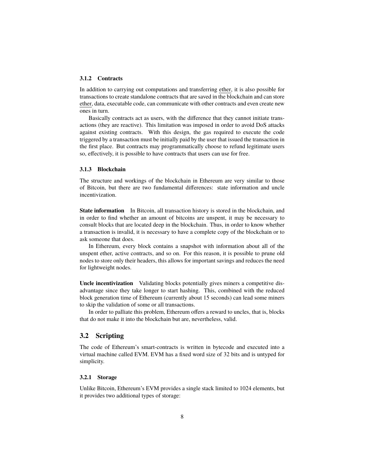#### **3.1.2 Contracts**

In addition to carrying out computations and transferring ether, it is also possible for transactions to create standalone contracts that are saved in the blockchain and can store ether, data, executable code, can communicate with other contracts and even create new ones in turn.

Basically contracts act as users, with the difference that they cannot initiate transactions (they are reactive). This limitation was imposed in order to avoid DoS attacks against existing contracts. With this design, the gas required to execute the code triggered by a transaction must be initially paid by the user that issued the transaction in the first place. But contracts may programmatically choose to refund legitimate users so, effectively, it is possible to have contracts that users can use for free.

#### **3.1.3 Blockchain**

The structure and workings of the blockchain in Ethereum are very similar to those of Bitcoin, but there are two fundamental differences: state information and uncle incentivization.

**State information** In Bitcoin, all transaction history is stored in the blockchain, and in order to find whether an amount of bitcoins are unspent, it may be necessary to consult blocks that are located deep in the blockchain. Thus, in order to know whether a transaction is invalid, it is necessary to have a complete copy of the blockchain or to ask someone that does.

In Ethereum, every block contains a snapshot with information about all of the unspent ether, active contracts, and so on. For this reason, it is possible to prune old nodes to store only their headers, this allows for important savings and reduces the need for lightweight nodes.

**Uncle incentivization** Validating blocks potentially gives miners a competitive disadvantage since they take longer to start hashing. This, combined with the reduced block generation time of Ethereum (currently about 15 seconds) can lead some miners to skip the validation of some or all transactions.

In order to palliate this problem, Ethereum offers a reward to uncles, that is, blocks that do not make it into the blockchain but are, nevertheless, valid.

#### **3.2 Scripting**

The code of Ethereum's smart-contracts is written in bytecode and executed into a virtual machine called EVM. EVM has a fixed word size of 32 bits and is untyped for simplicity.

#### **3.2.1 Storage**

Unlike Bitcoin, Ethereum's EVM provides a single stack limited to 1024 elements, but it provides two additional types of storage: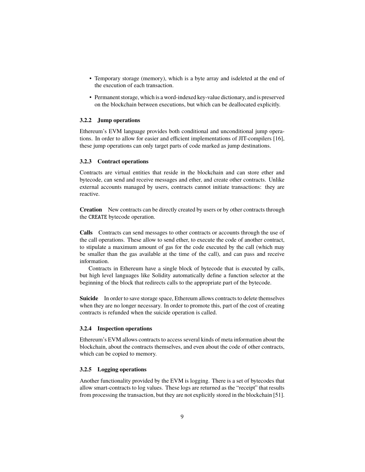- Temporary storage (memory), which is a byte array and isdeleted at the end of the execution of each transaction.
- Permanent storage, which is a word-indexed key-value dictionary, and is preserved on the blockchain between executions, but which can be deallocated explicitly.

#### **3.2.2 Jump operations**

Ethereum's EVM language provides both conditional and unconditional jump operations. In order to allow for easier and efficient implementations of JIT-compilers [16], these jump operations can only target parts of code marked as jump destinations.

#### **3.2.3 Contract operations**

Contracts are virtual entities that reside in the blockchain and can store ether and bytecode, can send and receive messages and ether, and create other contracts. Unlike external accounts managed by users, contracts cannot initiate transactions: they are reactive.

**Creation** New contracts can be directly created by users or by other contracts through the CREATE bytecode operation.

**Calls** Contracts can send messages to other contracts or accounts through the use of the call operations. These allow to send ether, to execute the code of another contract, to stipulate a maximum amount of gas for the code executed by the call (which may be smaller than the gas available at the time of the call), and can pass and receive information.

Contracts in Ethereum have a single block of bytecode that is executed by calls, but high level languages like Solidity automatically define a function selector at the beginning of the block that redirects calls to the appropriate part of the bytecode.

**Suicide** In order to save storage space, Ethereum allows contracts to delete themselves when they are no longer necessary. In order to promote this, part of the cost of creating contracts is refunded when the suicide operation is called.

#### **3.2.4 Inspection operations**

Ethereum's EVM allows contracts to access several kinds of meta information about the blockchain, about the contracts themselves, and even about the code of other contracts, which can be copied to memory.

#### **3.2.5 Logging operations**

Another functionality provided by the EVM is logging. There is a set of bytecodes that allow smart-contracts to log values. These logs are returned as the "receipt" that results from processing the transaction, but they are not explicitly stored in the blockchain [51].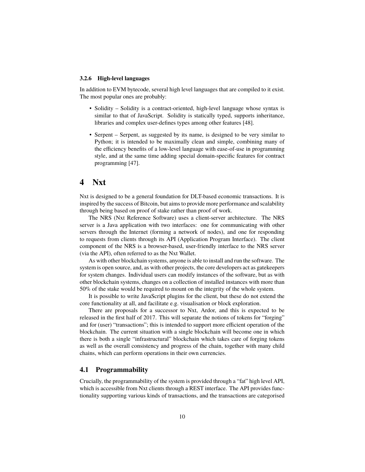#### **3.2.6 High-level languages**

In addition to EVM bytecode, several high level languages that are compiled to it exist. The most popular ones are probably:

- Solidity Solidity is a contract-oriented, high-level language whose syntax is similar to that of JavaScript. Solidity is statically typed, supports inheritance, libraries and complex user-defines types among other features [48].
- Serpent Serpent, as suggested by its name, is designed to be very similar to Python; it is intended to be maximally clean and simple, combining many of the efficiency benefits of a low-level language with ease-of-use in programming style, and at the same time adding special domain-specific features for contract programming [47].

## **4 Nxt**

Nxt is designed to be a general foundation for DLT-based economic transactions. It is inspired by the success of Bitcoin, but aims to provide more performance and scalability through being based on proof of stake rather than proof of work.

The NRS (Nxt Reference Software) uses a client-server architecture. The NRS server is a Java application with two interfaces: one for communicating with other servers through the Internet (forming a network of nodes), and one for responding to requests from clients through its API (Application Program Interface). The client component of the NRS is a browser-based, user-friendly interface to the NRS server (via the API), often referred to as the Nxt Wallet.

As with other blockchain systems, anyone is able to install and run the software. The system is open source, and, as with other projects, the core developers act as gatekeepers for system changes. Individual users can modify instances of the software, but as with other blockchain systems, changes on a collection of installed instances with more than 50% of the stake would be required to mount on the integrity of the whole system.

It is possible to write JavaScript plugins for the client, but these do not extend the core functionality at all, and facilitate e.g. visualisation or block exploration.

There are proposals for a successor to Nxt, Ardor, and this is expected to be released in the first half of 2017. This will separate the notions of tokens for "forging" and for (user) "transactions"; this is intended to support more efficient operation of the blockchain. The current situation with a single blockchain will become one in which there is both a single "infrastructural" blockchain which takes care of forging tokens as well as the overall consistency and progress of the chain, together with many child chains, which can perform operations in their own currencies.

## **4.1 Programmability**

Crucially, the programmability of the system is provided through a "fat" high level API, which is accessible from Nxt clients through a REST interface. The API provides functionality supporting various kinds of transactions, and the transactions are categorised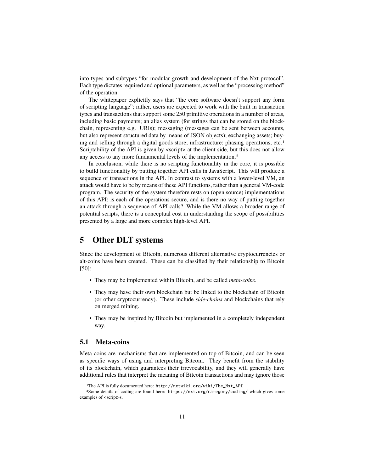into types and subtypes "for modular growth and development of the Nxt protocol". Each type dictates required and optional parameters, as well as the "processing method" of the operation.

The whitepaper explicitly says that "the core software doesn't support any form of scripting language"; rather, users are expected to work with the built in transaction types and transactions that support some 250 primitive operations in a number of areas, including basic payments; an alias system (for strings that can be stored on the blockchain, representing e.g. URIs); messaging (messages can be sent between accounts, but also represent structured data by means of JSON objects); exchanging assets; buying and selling through a digital goods store; infrastructure; phasing operations, etc.<sup>1</sup> Scriptability of the API is given by  $\langle \text{script} \rangle$  at the client side, but this does not allow any access to any more fundamental levels of the implementation.2

In conclusion, while there is no scripting functionality in the core, it is possible to build functionality by putting together API calls in JavaScript. This will produce a sequence of transactions in the API. In contrast to systems with a lower-level VM, an attack would have to be by means of these API functions, rather than a general VM-code program. The security of the system therefore rests on (open source) implementations of this API: is each of the operations secure, and is there no way of putting together an attack through a sequence of API calls? While the VM allows a broader range of potential scripts, there is a conceptual cost in understanding the scope of possibilities presented by a large and more complex high-level API.

# **5 Other DLT systems**

Since the development of Bitcoin, numerous different alternative cryptocurrencies or alt-coins have been created. These can be classified by their relationship to Bitcoin [50]:

- They may be implemented within Bitcoin, and be called *meta-coins*.
- They may have their own blockchain but be linked to the blockchain of Bitcoin (or other cryptocurrency). These include *side-chains* and blockchains that rely on merged mining.
- They may be inspired by Bitcoin but implemented in a completely independent way.

#### **5.1 Meta-coins**

Meta-coins are mechanisms that are implemented on top of Bitcoin, and can be seen as specific ways of using and interpreting Bitcoin. They benefit from the stability of its blockchain, which guarantees their irrevocability, and they will generally have additional rules that interpret the meaning of Bitcoin transactions and may ignore those

<sup>1</sup>The API is fully documented here: http://nxtwiki.org/wiki/The\_Nxt\_API

<sup>2</sup>Some details of coding are found here: https://nxt.org/category/coding/ which gives some examples of <script>s.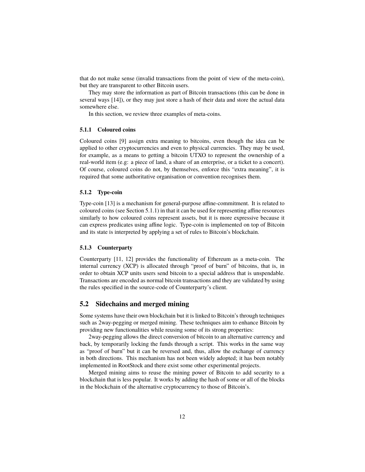that do not make sense (invalid transactions from the point of view of the meta-coin), but they are transparent to other Bitcoin users.

They may store the information as part of Bitcoin transactions (this can be done in several ways [14]), or they may just store a hash of their data and store the actual data somewhere else.

In this section, we review three examples of meta-coins.

#### **5.1.1 Coloured coins**

Coloured coins [9] assign extra meaning to bitcoins, even though the idea can be applied to other cryptocurrencies and even to physical currencies. They may be used, for example, as a means to getting a bitcoin UTXO to represent the ownership of a real-world item (e.g: a piece of land, a share of an enterprise, or a ticket to a concert). Of course, coloured coins do not, by themselves, enforce this "extra meaning", it is required that some authoritative organisation or convention recognises them.

#### **5.1.2 Type-coin**

Type-coin [13] is a mechanism for general-purpose affine-commitment. It is related to coloured coins (see Section 5.1.1) in that it can be used for representing affine resources similarly to how coloured coins represent assets, but it is more expressive because it can express predicates using affine logic. Type-coin is implemented on top of Bitcoin and its state is interpreted by applying a set of rules to Bitcoin's blockchain.

#### **5.1.3 Counterparty**

Counterparty [11, 12] provides the functionality of Ethereum as a meta-coin. The internal currency (XCP) is allocated through "proof of burn" of bitcoins, that is, in order to obtain XCP units users send bitcoin to a special address that is unspendable. Transactions are encoded as normal bitcoin transactions and they are validated by using the rules specified in the source-code of Counterparty's client.

#### **5.2 Sidechains and merged mining**

Some systems have their own blockchain but it is linked to Bitcoin's through techniques such as 2way-pegging or merged mining. These techniques aim to enhance Bitcoin by providing new functionalities while reusing some of its strong properties:

2way-pegging allows the direct conversion of bitcoin to an alternative currency and back, by temporarily locking the funds through a script. This works in the same way as "proof of burn" but it can be reversed and, thus, allow the exchange of currency in both directions. This mechanism has not been widely adopted; it has been notably implemented in RootStock and there exist some other experimental projects.

Merged mining aims to reuse the mining power of Bitcoin to add security to a blockchain that is less popular. It works by adding the hash of some or all of the blocks in the blockchain of the alternative cryptocurrency to those of Bitcoin's.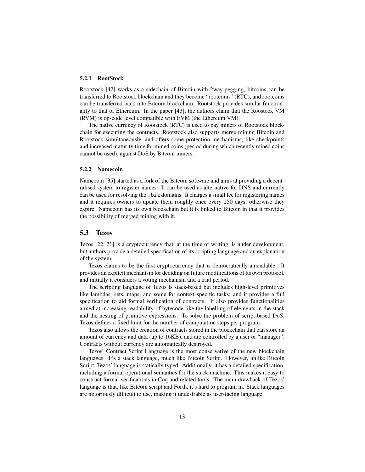#### **5.2.1 RootStock**

Rootstock [42] works as a sidechain of Bitcoin with 2way-pegging, bitcoins can be transferred to Rootstock blockchain and they become "rootcoins" (RTC), and rootcoins can be transferred back into Bitcoin blockchain. Rootstock provides similar functionality to that of Ethereum. In the paper [43], the authors claim that the Roostock VM (RVM) is op-code level compatible with EVM (the Ethereum VM).

The native currency of Rootstock (RTC) is used to pay miners of Rootstock blockchain for executing the contracts. Rootstock also supports merge mining Bitcoin and Rootstock simultaneously, and offers some protection mechanisms, like checkpoints and increased maturity time for mined coins (period during which recently mined coins cannot be used), against DoS by Bitcoin miners.

#### **5.2.2 Namecoin**

Namecoin [35] started as a fork of the Bitcoin software and aims at providing a decentralised system to register names. It can be used as alternative for DNS and currently can be used for resolving the .bit domains. It charges a small fee for registering names and it requires owners to update them roughly once every 250 days, otherwise they expire. Namecoin has its own blockchain but it is linked to Bitcoin in that it provides the possibility of merged mining with it.

#### **5.3 Tezos**

Tezos [22, 21] is a cryptocurrency that, at the time of writing, is under development, but authors provide a detailed specification of its scripting language and an explanation of the system.

Tezos claims to be the first cryptocurrency that is democratically-amendable. It provides an explicit mechanism for deciding on future modifications of its own protocol, and initially it considers a voting mechanism and a trial period.

The scripting language of Tezos is stack-based but includes high-level primitives like lambdas, sets, maps, and some for context specific tasks; and it provides a full specification to aid formal verification of contracts. It also provides functionalities aimed at increasing readability of bytecode like the labelling of elements in the stack and the nesting of primitive expressions. To solve the problem of script-based DoS, Tezos defines a fixed limit for the number of computation steps per program.

Tezos also allows the creation of contracts stored in the blockchain that can store an amount of currency and data (up to 16KB), and are controlled by a user or "manager". Contracts without currency are automatically destroyed.

Tezos' Contract Script Language is the most conservative of the new blockchain languages. It's a stack language, much like Bitcoin Script. However, unlike Bitcoin Script, Tezos' language is statically typed. Additionally, it has a detailed specification, including a formal operational semantics for the stack machine. This makes it easy to construct formal verifications in Coq and related tools. The main drawback of Tezos' language is that, like Bitcoin script and Forth, it's hard to program in. Stack languages are notoriously difficult to use, making it undesirable as user-facing language.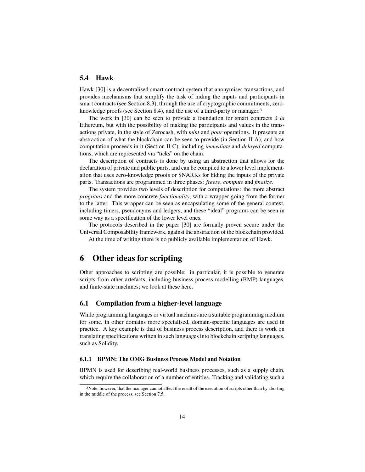#### **5.4 Hawk**

Hawk [30] is a decentralised smart contract system that anonymises transactions, and provides mechanisms that simplify the task of hiding the inputs and participants in smart contracts (see Section 8.3), through the use of cryptographic commitments, zeroknowledge proofs (see Section 8.4), and the use of a third-party or manager.3

The work in [30] can be seen to provide a foundation for smart contracts *à la* Ethereum, but with the possibility of making the participants and values in the transactions private, in the style of Zerocash, with *mint* and *pour* operations. It presents an abstraction of what the blockchain can be seen to provide (in Section II-A), and how computation proceeds in it (Section II-C), including *immediate* and *delayed* computations, which are represented via "ticks" on the chain.

The description of contracts is done by using an abstraction that allows for the declaration of private and public parts, and can be compiled to a lower level implementation that uses zero-knowledge proofs or SNARKs for hiding the inputs of the private parts. Transactions are programmed in three phases: *freeze*, *compute* and *finalize*.

The system provides two levels of description for computations: the more abstract *programs* and the more concrete *functionality*, with a wrapper going from the former to the latter. This wrapper can be seen as encapsulating some of the general context, including timers, pseudonyms and ledgers, and these "ideal" programs can be seen in some way as a specification of the lower level ones.

The protocols described in the paper [30] are formally proven secure under the Universal Composability framework, against the abstraction of the blockchain provided.

At the time of writing there is no publicly available implementation of Hawk.

# **6 Other ideas for scripting**

Other approaches to scripting are possible: in particular, it is possible to generate scripts from other artefacts, including business process modelling (BMP) languages, and finite-state machines; we look at these here.

#### **6.1 Compilation from a higher-level language**

While programming languages or virtual machines are a suitable programming medium for some, in other domains more specialised, domain-specific languages are used in practice. A key example is that of business process description, and there is work on translating specifications written in such languages into blockchain scripting languages, such as Solidity.

#### **6.1.1 BPMN: The OMG Business Process Model and Notation**

BPMN is used for describing real-world business processes, such as a supply chain, which require the collaboration of a number of entities. Tracking and validating such a

<sup>3</sup>Note, however, that the manager cannot affect the result of the execution of scripts other than by aborting in the middle of the process, see Section 7.5.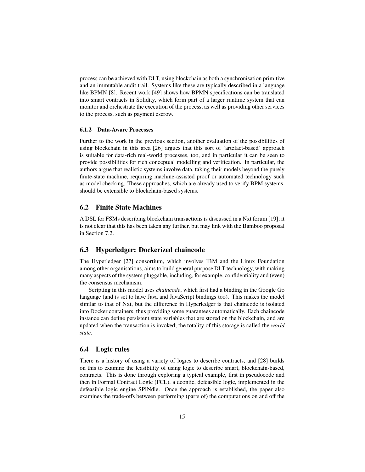process can be achieved with DLT, using blockchain as both a synchronisation primitive and an immutable audit trail. Systems like these are typically described in a language like BPMN [8]. Recent work [49] shows how BPMN specifications can be translated into smart contracts in Solidity, which form part of a larger runtime system that can monitor and orchestrate the execution of the process, as well as providing other services to the process, such as payment escrow.

#### **6.1.2 Data-Aware Processes**

Further to the work in the previous section, another evaluation of the possibilities of using blockchain in this area [26] argues that this sort of 'artefact-based' approach is suitable for data-rich real-world processes, too, and in particular it can be seen to provide possibilities for rich conceptual modelling and verification. In particular, the authors argue that realistic systems involve data, taking their models beyond the purely finite-state machine, requiring machine-assisted proof or automated technology such as model checking. These approaches, which are already used to verify BPM systems, should be extensible to blockchain-based systems.

#### **6.2 Finite State Machines**

A DSL for FSMs describing blockchain transactions is discussed in a Nxt forum [19]; it is not clear that this has been taken any further, but may link with the Bamboo proposal in Section 7.2.

#### **6.3 Hyperledger: Dockerized chaincode**

The Hyperledger [27] consortium, which involves IBM and the Linux Foundation among other organisations, aims to build general purpose DLT technology, with making many aspects of the system pluggable, including, for example, confidentiality and (even) the consensus mechanism.

Scripting in this model uses *chaincode*, which first had a binding in the Google Go language (and is set to have Java and JavaScript bindings too). This makes the model similar to that of Nxt, but the difference in Hyperledger is that chaincode is isolated into Docker containers, thus providing some guarantees automatically. Each chaincode instance can define persistent state variables that are stored on the blockchain, and are updated when the transaction is invoked; the totality of this storage is called the *world state*.

#### **6.4 Logic rules**

There is a history of using a variety of logics to describe contracts, and [28] builds on this to examine the feasibility of using logic to describe smart, blockchain-based, contracts. This is done through exploring a typical example, first in pseudocode and then in Formal Contract Logic (FCL), a deontic, defeasible logic, implemented in the defeasible logic engine SPINdle. Once the approach is established, the paper also examines the trade-offs between performing (parts of) the computations on and off the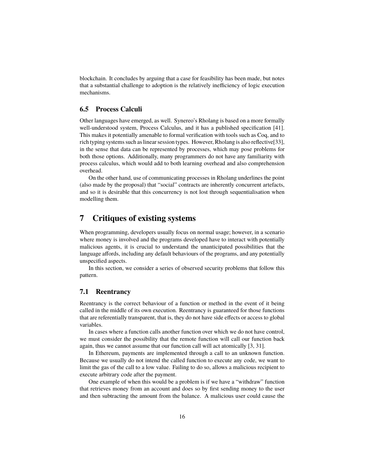blockchain. It concludes by arguing that a case for feasibility has been made, but notes that a substantial challenge to adoption is the relatively inefficiency of logic execution mechanisms.

### **6.5 Process Calculi**

Other languages have emerged, as well. Synereo's Rholang is based on a more formally well-understood system, Process Calculus, and it has a published specification [41]. This makes it potentially amenable to formal verification with tools such as Coq, and to rich typing systems such as linear session types. However, Rholang is also reflective[33], in the sense that data can be represented by processes, which may pose problems for both those options. Additionally, many programmers do not have any familiarity with process calculus, which would add to both learning overhead and also comprehension overhead.

On the other hand, use of communicating processes in Rholang underlines the point (also made by the proposal) that "social" contracts are inherently concurrent artefacts, and so it is desirable that this concurrency is not lost through sequentialisation when modelling them.

# **7 Critiques of existing systems**

When programming, developers usually focus on normal usage; however, in a scenario where money is involved and the programs developed have to interact with potentially malicious agents, it is crucial to understand the unanticipated possibilities that the language affords, including any default behaviours of the programs, and any potentially unspecified aspects.

In this section, we consider a series of observed security problems that follow this pattern.

#### **7.1 Reentrancy**

Reentrancy is the correct behaviour of a function or method in the event of it being called in the middle of its own execution. Reentrancy is guaranteed for those functions that are referentially transparent, that is, they do not have side effects or access to global variables.

In cases where a function calls another function over which we do not have control, we must consider the possibility that the remote function will call our function back again, thus we cannot assume that our function call will act atomically [3, 31].

In Ethereum, payments are implemented through a call to an unknown function. Because we usually do not intend the called function to execute any code, we want to limit the gas of the call to a low value. Failing to do so, allows a malicious recipient to execute arbitrary code after the payment.

One example of when this would be a problem is if we have a "withdraw" function that retrieves money from an account and does so by first sending money to the user and then subtracting the amount from the balance. A malicious user could cause the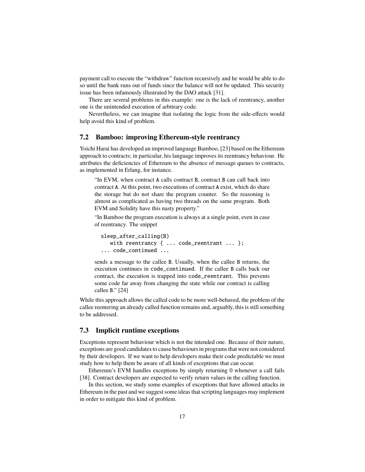payment call to execute the "withdraw" function recursively and he would be able to do so until the bank runs out of funds since the balance will not be updated. This security issue has been infamously illustrated by the DAO attack [31].

There are several problems in this example: one is the lack of reentrancy, another one is the unintended execution of arbitrary code.

Nevertheless, we can imagine that isolating the logic from the side-effects would help avoid this kind of problem.

#### **7.2 Bamboo: improving Ethereum-style reentrancy**

Yoichi Harai has developed an improved language Bamboo, [23] based on the Ethereum approach to contracts; in particular, his language improves its reentrancy behaviour. He attributes the deficiencies of Ethereum to the absence of message queues to contracts, as implemented in Erlang, for instance.

"In EVM, when contract A calls contract B, contract B can call back into contract A. At this point, two executions of contract A exist, which do share the storage but do not share the program counter. So the reasoning is almost as complicated as having two threads on the same program. Both EVM and Solidity have this nasty property."

"In Bamboo the program execution is always at a single point, even in case of reentrancy. The snippet

```
sleep_after_calling(B)
  with reentrancy { ... code_reentrant ... };
... code_continued ...
```
sends a message to the callee B. Usually, when the callee B returns, the execution continues in code\_continued. If the callee B calls back our contract, the execution is trapped into code\_reentrant. This prevents some code far away from changing the state while our contract is calling callee B." [24]

While this approach allows the called code to be more well-behaved, the problem of the callee reentering an already called function remains and, arguably, this is still something to be addressed.

## **7.3 Implicit runtime exceptions**

Exceptions represent behaviour which is not the intended one. Because of their nature, exceptions are good candidates to cause behaviours in programs that were not considered by their developers. If we want to help developers make their code predictable we must study how to help them be aware of all kinds of exceptions that can occur.

Ethereum's EVM handles exceptions by simply returning 0 whenever a call fails [38]. Contract developers are expected to verify return values in the calling function.

In this section, we study some examples of exceptions that have allowed attacks in Ethereum in the past and we suggest some ideas that scripting languages may implement in order to mitigate this kind of problem.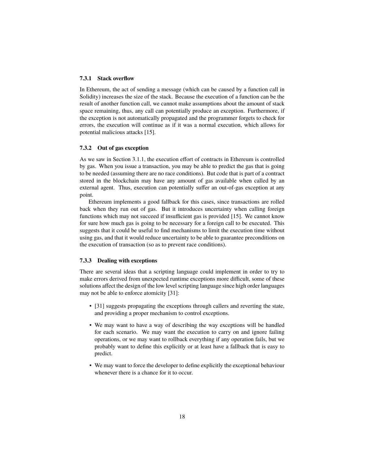#### **7.3.1 Stack overflow**

In Ethereum, the act of sending a message (which can be caused by a function call in Solidity) increases the size of the stack. Because the execution of a function can be the result of another function call, we cannot make assumptions about the amount of stack space remaining, thus, any call can potentially produce an exception. Furthermore, if the exception is not automatically propagated and the programmer forgets to check for errors, the execution will continue as if it was a normal execution, which allows for potential malicious attacks [15].

#### **7.3.2 Out of gas exception**

As we saw in Section 3.1.1, the execution effort of contracts in Ethereum is controlled by gas. When you issue a transaction, you may be able to predict the gas that is going to be needed (assuming there are no race conditions). But code that is part of a contract stored in the blockchain may have any amount of gas available when called by an external agent. Thus, execution can potentially suffer an out-of-gas exception at any point.

Ethereum implements a good fallback for this cases, since transactions are rolled back when they run out of gas. But it introduces uncertainty when calling foreign functions which may not succeed if insufficient gas is provided [15]. We cannot know for sure how much gas is going to be necessary for a foreign call to be executed. This suggests that it could be useful to find mechanisms to limit the execution time without using gas, and that it would reduce uncertainty to be able to guarantee preconditions on the execution of transaction (so as to prevent race conditions).

#### **7.3.3 Dealing with exceptions**

There are several ideas that a scripting language could implement in order to try to make errors derived from unexpected runtime exceptions more difficult, some of these solutions affect the design of the low level scripting language since high order languages may not be able to enforce atomicity [31]:

- [31] suggests propagating the exceptions through callers and reverting the state, and providing a proper mechanism to control exceptions.
- We may want to have a way of describing the way exceptions will be handled for each scenario. We may want the execution to carry on and ignore failing operations, or we may want to rollback everything if any operation fails, but we probably want to define this explicitly or at least have a fallback that is easy to predict.
- We may want to force the developer to define explicitly the exceptional behaviour whenever there is a chance for it to occur.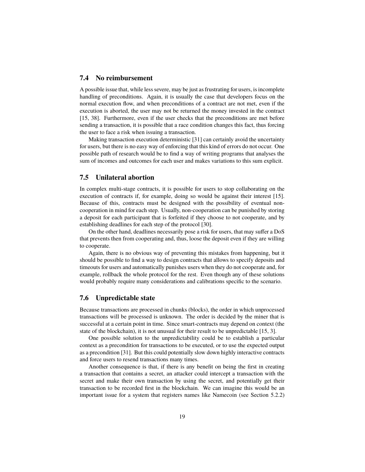#### **7.4 No reimbursement**

A possible issue that, while less severe, may be just as frustrating for users, is incomplete handling of preconditions. Again, it is usually the case that developers focus on the normal execution flow, and when preconditions of a contract are not met, even if the execution is aborted, the user may not be returned the money invested in the contract [15, 38]. Furthermore, even if the user checks that the preconditions are met before sending a transaction, it is possible that a race condition changes this fact, thus forcing the user to face a risk when issuing a transaction.

Making transaction execution deterministic [31] can certainly avoid the uncertainty for users, but there is no easy way of enforcing that this kind of errors do not occur. One possible path of research would be to find a way of writing programs that analyses the sum of incomes and outcomes for each user and makes variations to this sum explicit.

#### **7.5 Unilateral abortion**

In complex multi-stage contracts, it is possible for users to stop collaborating on the execution of contracts if, for example, doing so would be against their interest [15]. Because of this, contracts must be designed with the possibility of eventual noncooperation in mind for each step. Usually, non-cooperation can be punished by storing a deposit for each participant that is forfeited if they choose to not cooperate, and by establishing deadlines for each step of the protocol [30].

On the other hand, deadlines necessarily pose a risk for users, that may suffer a DoS that prevents then from cooperating and, thus, loose the deposit even if they are willing to cooperate.

Again, there is no obvious way of preventing this mistakes from happening, but it should be possible to find a way to design contracts that allows to specify deposits and timeouts for users and automatically punishes users when they do not cooperate and, for example, rollback the whole protocol for the rest. Even though any of these solutions would probably require many considerations and calibrations specific to the scenario.

#### **7.6 Unpredictable state**

Because transactions are processed in chunks (blocks), the order in which unprocessed transactions will be processed is unknown. The order is decided by the miner that is successful at a certain point in time. Since smart-contracts may depend on context (the state of the blockchain), it is not unusual for their result to be unpredictable [15, 3].

One possible solution to the unpredictability could be to establish a particular context as a precondition for transactions to be executed, or to use the expected output as a precondition [31]. But this could potentially slow down highly interactive contracts and force users to resend transactions many times.

Another consequence is that, if there is any benefit on being the first in creating a transaction that contains a secret, an attacker could intercept a transaction with the secret and make their own transaction by using the secret, and potentially get their transaction to be recorded first in the blockchain. We can imagine this would be an important issue for a system that registers names like Namecoin (see Section 5.2.2)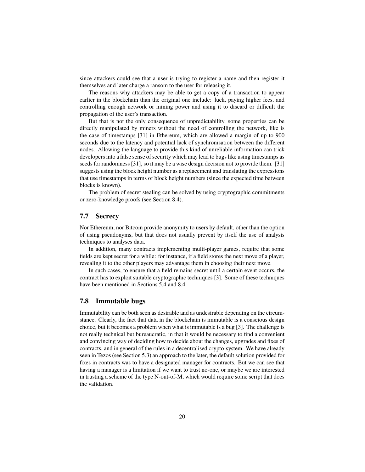since attackers could see that a user is trying to register a name and then register it themselves and later charge a ransom to the user for releasing it.

The reasons why attackers may be able to get a copy of a transaction to appear earlier in the blockchain than the original one include: luck, paying higher fees, and controlling enough network or mining power and using it to discard or difficult the propagation of the user's transaction.

But that is not the only consequence of unpredictability, some properties can be directly manipulated by miners without the need of controlling the network, like is the case of timestamps [31] in Ethereum, which are allowed a margin of up to 900 seconds due to the latency and potential lack of synchronisation between the different nodes. Allowing the language to provide this kind of unreliable information can trick developers into a false sense of security which may lead to bugs like using timestamps as seeds for randomness [31], so it may be a wise design decision not to provide them. [31] suggests using the block height number as a replacement and translating the expressions that use timestamps in terms of block height numbers (since the expected time between blocks is known).

The problem of secret stealing can be solved by using cryptographic commitments or zero-knowledge proofs (see Section 8.4).

#### **7.7 Secrecy**

Nor Ethereum, nor Bitcoin provide anonymity to users by default, other than the option of using pseudonyms, but that does not usually prevent by itself the use of analysis techniques to analyses data.

In addition, many contracts implementing multi-player games, require that some fields are kept secret for a while: for instance, if a field stores the next move of a player, revealing it to the other players may advantage them in choosing their next move.

In such cases, to ensure that a field remains secret until a certain event occurs, the contract has to exploit suitable cryptographic techniques [3]. Some of these techniques have been mentioned in Sections 5.4 and 8.4.

#### **7.8 Immutable bugs**

Immutability can be both seen as desirable and as undesirable depending on the circumstance. Clearly, the fact that data in the blockchain is immutable is a conscious design choice, but it becomes a problem when what is immutable is a bug [3]. The challenge is not really technical but bureaucratic, in that it would be necessary to find a convenient and convincing way of deciding how to decide about the changes, upgrades and fixes of contracts, and in general of the rules in a decentralised crypto-system. We have already seen in Tezos (see Section 5.3) an approach to the later, the default solution provided for fixes in contracts was to have a designated manager for contracts. But we can see that having a manager is a limitation if we want to trust no-one, or maybe we are interested in trusting a scheme of the type N-out-of-M, which would require some script that does the validation.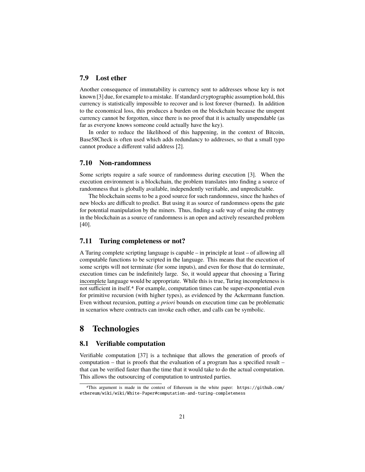#### **7.9 Lost ether**

Another consequence of immutability is currency sent to addresses whose key is not known [3] due, for example to a mistake. If standard cryptographic assumption hold, this currency is statistically impossible to recover and is lost forever (burned). In addition to the economical loss, this produces a burden on the blockchain because the unspent currency cannot be forgotten, since there is no proof that it is actually unspendable (as far as everyone knows someone could actually have the key).

In order to reduce the likelihood of this happening, in the context of Bitcoin, Base58Check is often used which adds redundancy to addresses, so that a small typo cannot produce a different valid address [2].

#### **7.10 Non-randomness**

Some scripts require a safe source of randomness during execution [3]. When the execution environment is a blockchain, the problem translates into finding a source of randomness that is globally available, independently verifiable, and unpredictable.

The blockchain seems to be a good source for such randomness, since the hashes of new blocks are difficult to predict. But using it as source of randomness opens the gate for potential manipulation by the miners. Thus, finding a safe way of using the entropy in the blockchain as a source of randomness is an open and actively researched problem [40].

#### **7.11 Turing completeness or not?**

A Turing complete scripting language is capable – in principle at least – of allowing all computable functions to be scripted in the language. This means that the execution of some scripts will not terminate (for some inputs), and even for those that do terminate, execution times can be indefinitely large. So, it would appear that choosing a Turing incomplete language would be appropriate. While this is true, Turing incompleteness is not sufficient in itself.4 For example, computation times can be super-exponential even for primitive recursion (with higher types), as evidenced by the Ackermann function. Even without recursion, putting *a priori* bounds on execution time can be problematic in scenarios where contracts can invoke each other, and calls can be symbolic.

# **8 Technologies**

#### **8.1 Verifiable computation**

Verifiable computation [37] is a technique that allows the generation of proofs of computation – that is proofs that the evaluation of a program has a specified result – that can be verified faster than the time that it would take to do the actual computation. This allows the outsourcing of computation to untrusted parties.

<sup>4</sup>This argument is made in the context of Ethereum in the white paper: https://github.com/ ethereum/wiki/wiki/White-Paper#computation-and-turing-completeness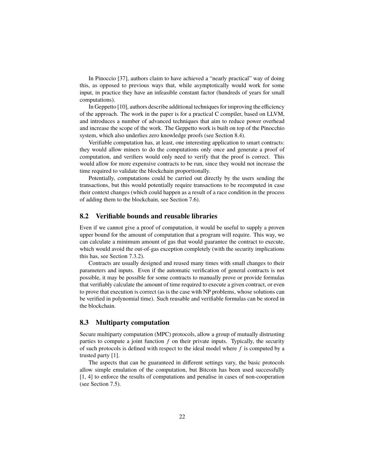In Pinoccio [37], authors claim to have achieved a "nearly practical" way of doing this, as opposed to previous ways that, while asymptotically would work for some input, in practice they have an infeasible constant factor (hundreds of years for small computations).

In Geppetto [10], authors describe additional techniques for improving the efficiency of the approach. The work in the paper is for a practical C compiler, based on LLVM, and introduces a number of advanced techniques that aim to reduce power overhead and increase the scope of the work. The Geppetto work is built on top of the Pinocchio system, which also underlies zero knowledge proofs (see Section 8.4).

Verifiable computation has, at least, one interesting application to smart contracts: they would allow miners to do the computations only once and generate a proof of computation, and verifiers would only need to verify that the proof is correct. This would allow for more expensive contracts to be run, since they would not increase the time required to validate the blockchain proportionally.

Potentially, computations could be carried out directly by the users sending the transactions, but this would potentially require transactions to be recomputed in case their context changes (which could happen as a result of a race condition in the process of adding them to the blockchain, see Section 7.6).

#### **8.2 Verifiable bounds and reusable libraries**

Even if we cannot give a proof of computation, it would be useful to supply a proven upper bound for the amount of computation that a program will require. This way, we can calculate a minimum amount of gas that would guarantee the contract to execute, which would avoid the out-of-gas exception completely (with the security implications this has, see Section 7.3.2).

Contracts are usually designed and reused many times with small changes to their parameters and inputs. Even if the automatic verification of general contracts is not possible, it may be possible for some contracts to manually prove or provide formulas that verifiably calculate the amount of time required to execute a given contract, or even to prove that execution is correct (as is the case with NP problems, whose solutions can be verified in polynomial time). Such reusable and verifiable formulas can be stored in the blockchain.

#### **8.3 Multiparty computation**

Secure multiparty computation (MPC) protocols, allow a group of mutually distrusting parties to compute a joint function *f* on their private inputs. Typically, the security of such protocols is defined with respect to the ideal model where *f* is computed by a trusted party [1].

The aspects that can be guaranteed in different settings vary, the basic protocols allow simple emulation of the computation, but Bitcoin has been used successfully [1, 4] to enforce the results of computations and penalise in cases of non-cooperation (see Section 7.5).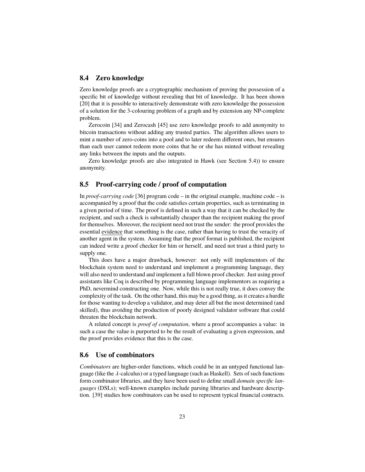#### **8.4 Zero knowledge**

Zero knowledge proofs are a cryptographic mechanism of proving the possession of a specific bit of knowledge without revealing that bit of knowledge. It has been shown [20] that it is possible to interactively demonstrate with zero knowledge the possession of a solution for the 3-colouring problem of a graph and by extension any NP-complete problem.

Zerocoin [34] and Zerocash [45] use zero knowledge proofs to add anonymity to bitcoin transactions without adding any trusted parties. The algorithm allows users to mint a number of zero-coins into a pool and to later redeem different ones, but ensures than each user cannot redeem more coins that he or she has minted without revealing any links between the inputs and the outputs.

Zero knowledge proofs are also integrated in Hawk (see Section 5.4)) to ensure anonymity.

#### **8.5 Proof-carrying code / proof of computation**

In *proof-carrying code* [36] program code – in the original example, machine code – is accompanied by a proof that the code satisfies certain properties, such as terminating in a given period of time. The proof is defined in such a way that it can be checked by the recipient, and such a check is substantially cheaper than the recipient making the proof for themselves. Moreover, the recipient need not trust the sender: the proof provides the essential evidence that something is the case, rather than having to trust the veracity of another agent in the system. Assuming that the proof format is published, the recipient can indeed write a proof checker for him or herself, and need not trust a third party to supply one.

This does have a major drawback, however: not only will implementors of the blockchain system need to understand and implement a programming language, they will also need to understand and implement a full blown proof checker. Just using proof assistants like Coq is described by programming language implementors as requiring a PhD, nevermind constructing one. Now, while this is not really true, it does convey the complexity of the task. On the other hand, this may be a good thing, as it creates a hurdle for those wanting to develop a validator, and may deter all but the most determined (and skilled), thus avoiding the production of poorly designed validator software that could threaten the blockchain network.

A related concept is *proof of computation*, where a proof accompanies a value: in such a case the value is purported to be the result of evaluating a given expression, and the proof provides evidence that this is the case.

#### **8.6 Use of combinators**

*Combinators* are higher-order functions, which could be in an untyped functional language (like the λ-calculus) or a typed language (such as Haskell). Sets of such functions form combinator libraries, and they have been used to define small *domain specific languages* (DSLs); well-known examples include parsing libraries and hardware description. [39] studies how combinators can be used to represent typical financial contracts.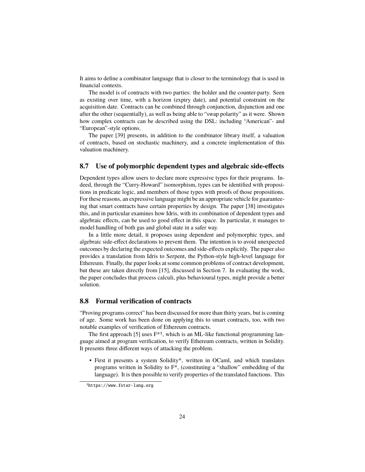It aims to define a combinator language that is closer to the terminology that is used in financial contexts.

The model is of contracts with two parties: the holder and the counter-party. Seen as existing over time, with a horizon (expiry date), and potential constraint on the acquisition date. Contracts can be combined through conjunction, disjunction and one after the other (sequentially), as well as being able to "swap polarity" as it were. Shown how complex contracts can be described using the DSL: including "American"- and "European"-style options.

The paper [39] presents, in addition to the combinator library itself, a valuation of contracts, based on stochastic machinery, and a concrete implementation of this valuation machinery.

#### **8.7 Use of polymorphic dependent types and algebraic side-effects**

Dependent types allow users to declare more expressive types for their programs. Indeed, through the "Curry-Howard" isomorphism, types can be identified with propositions in predicate logic, and members of those types with proofs of those propositions. For these reasons, an expressive language might be an appropriate vehicle for guaranteeing that smart contracts have certain properties by design. The paper [38] investigates this, and in particular examines how Idris, with its combination of dependent types and algebraic effects, can be used to good effect in this space. In particular, it manages to model handling of both gas and global state in a safer way.

In a little more detail, it proposes using dependent and polymorphic types, and algebraic side-effect declarations to prevent them. The intention is to avoid unexpected outcomes by declaring the expected outcomes and side-effects explicitly. The paper also provides a translation from Idris to Serpent, the Python-style high-level language for Ethereum. Finally, the paper looks at some common problems of contract development, but these are taken directly from [15], discussed in Section 7. In evaluating the work, the paper concludes that process calculi, plus behavioural types, might provide a better solution.

### **8.8 Formal verification of contracts**

"Proving programs correct" has been discussed for more than thirty years, but is coming of age. Some work has been done on applying this to smart contracts, too, with two notable examples of verification of Ethereum contracts.

The first approach [5] uses  $F^{*5}$ , which is an ML-like functional programming language aimed at program verification, to verify Ethereum contracts, written in Solidity. It presents three different ways of attacking the problem.

• First it presents a system Solidity\*, written in OCaml, and which translates programs written in Solidity to F\*, (constituting a "shallow" embedding of the language). It is then possible to verify properties of the translated functions. This

<sup>5</sup>https://www.fstar-lang.org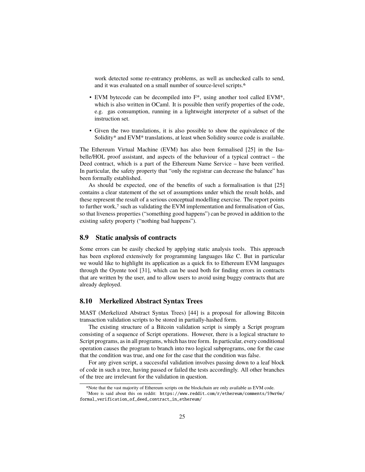work detected some re-entrancy problems, as well as unchecked calls to send, and it was evaluated on a small number of source-level scripts.6

- EVM bytecode can be decompiled into F\*, using another tool called EVM\*, which is also written in OCaml. It is possible then verify properties of the code, e.g. gas consumption, running in a lightweight interpreter of a subset of the instruction set.
- Given the two translations, it is also possible to show the equivalence of the Solidity\* and EVM\* translations, at least when Solidity source code is available.

The Ethereum Virtual Machine (EVM) has also been formalised [25] in the Isabelle/HOL proof assistant, and aspects of the behaviour of a typical contract – the Deed contract, which is a part of the Ethereum Name Service – have been verified. In particular, the safety property that "only the registrar can decrease the balance" has been formally established.

As should be expected, one of the benefits of such a formalisation is that [25] contains a clear statement of the set of assumptions under which the result holds, and these represent the result of a serious conceptual modelling exercise. The report points to further work,<sup>7</sup> such as validating the EVM implementation and formalisation of Gas, so that liveness properties ("something good happens") can be proved in addition to the existing safety property ("nothing bad happens").

#### **8.9 Static analysis of contracts**

Some errors can be easily checked by applying static analysis tools. This approach has been explored extensively for programming languages like C. But in particular we would like to highlight its application as a quick fix to Ethereum EVM languages through the Oyente tool [31], which can be used both for finding errors in contracts that are written by the user, and to allow users to avoid using buggy contracts that are already deployed.

#### **8.10 Merkelized Abstract Syntax Trees**

MAST (Merkelized Abstract Syntax Trees) [44] is a proposal for allowing Bitcoin transaction validation scripts to be stored in partially-hashed form.

The existing structure of a Bitcoin validation script is simply a Script program consisting of a sequence of Script operations. However, there is a logical structure to Script programs, as in all programs, which has tree form. In particular, every conditional operation causes the program to branch into two logical subprograms, one for the case that the condition was true, and one for the case that the condition was false.

For any given script, a successful validation involves passing down to a leaf block of code in such a tree, having passed or failed the tests accordingly. All other branches of the tree are irrelevant for the validation in question.

<sup>6</sup>Note that the vast majority of Ethereum scripts on the blockchain are only available as EVM code.

<sup>7</sup>More is said about this on reddit: https://www.reddit.com/r/ethereum/comments/59wr6w/ formal\_verification\_of\_deed\_contract\_in\_ethereum/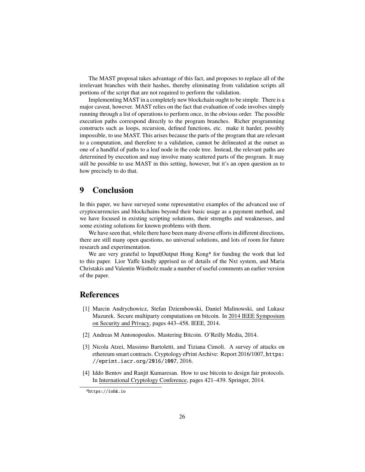The MAST proposal takes advantage of this fact, and proposes to replace all of the irrelevant branches with their hashes, thereby eliminating from validation scripts all portions of the script that are not required to perform the validation.

Implementing MAST in a completely new blockchain ought to be simple. There is a major caveat, however. MAST relies on the fact that evaluation of code involves simply running through a list of operations to perform once, in the obvious order. The possible execution paths correspond directly to the program branches. Richer programming constructs such as loops, recursion, defined functions, etc. make it harder, possibly impossible, to use MAST. This arises because the parts of the program that are relevant to a computation, and therefore to a validation, cannot be delineated at the outset as one of a handful of paths to a leaf node in the code tree. Instead, the relevant paths are determined by execution and may involve many scattered parts of the program. It may still be possible to use MAST in this setting, however, but it's an open question as to how precisely to do that.

# **9 Conclusion**

In this paper, we have surveyed some representative examples of the advanced use of cryptocurrencies and blockchains beyond their basic usage as a payment method, and we have focused in existing scripting solutions, their strengths and weaknesses, and some existing solutions for known problems with them.

We have seen that, while there have been many diverse efforts in different directions, there are still many open questions, no universal solutions, and lots of room for future research and experimentation.

We are very grateful to Input|Output Hong Kong<sup>8</sup> for funding the work that led to this paper. Lior Yaffe kindly apprised us of details of the Nxt system, and Maria Christakis and Valentin Wüstholz made a number of useful comments an earlier version of the paper.

# **References**

- [1] Marcin Andrychowicz, Stefan Dziembowski, Daniel Malinowski, and Lukasz Mazurek. Secure multiparty computations on bitcoin. In 2014 IEEE Symposium on Security and Privacy, pages 443–458. IEEE, 2014.
- [2] Andreas M Antonopoulos. Mastering Bitcoin. O'Reilly Media, 2014.
- [3] Nicola Atzei, Massimo Bartoletti, and Tiziana Cimoli. A survey of attacks on ethereum smart contracts. Cryptology ePrint Archive: Report 2016/1007, https: //eprint.iacr.org/2016/1007, 2016.
- [4] Iddo Bentov and Ranjit Kumaresan. How to use bitcoin to design fair protocols. In International Cryptology Conference, pages 421–439. Springer, 2014.

<sup>8</sup>https://iohk.io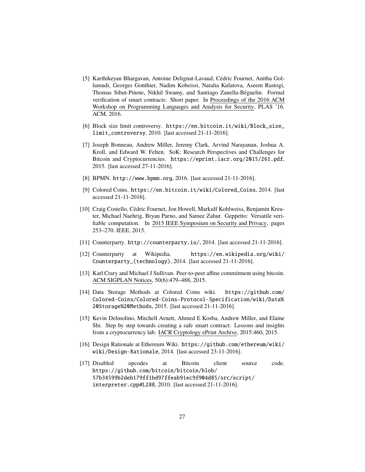- [5] Karthikeyan Bhargavan, Antoine Delignat-Lavaud, Cédric Fournet, Anitha Gollamudi, Georges Gonthier, Nadim Kobeissi, Natalia Kulatova, Aseem Rastogi, Thomas Sibut-Pinote, Nikhil Swamy, and Santiago Zanella-Béguelin. Formal verification of smart contracts: Short paper. In Proceedings of the 2016 ACM Workshop on Programming Languages and Analysis for Security, PLAS '16. ACM, 2016.
- [6] Block size limit controversy. https://en.bitcoin.it/wiki/Block\_size\_ limit\_controversy, 2010. [last accessed 21-11-2016].
- [7] Joseph Bonneau, Andrew Miller, Jeremy Clark, Arvind Narayanan, Joshua A. Kroll, and Edward W. Felten. SoK: Research Perspectives and Challenges for Bitcoin and Cryptocurrencies. https://eprint.iacr.org/2015/261.pdf, 2015. [last accessed 27-11-2016].
- [8] BPMN. http://www.bpmn.org, 2016. [last accessed 21-11-2016].
- [9] Colored Coins. https://en.bitcoin.it/wiki/Colored\_Coins, 2014. [last accessed 21-11-2016].
- [10] Craig Costello, Cédric Fournet, Jon Howell, Markulf Kohlweiss, Benjamin Kreuter, Michael Naehrig, Bryan Parno, and Samee Zahur. Geppetto: Versatile verifiable computation. In 2015 IEEE Symposium on Security and Privacy, pages 253–270. IEEE, 2015.
- [11] Counterparty. http://counterparty.io/, 2014. [last accessed 21-11-2016].
- [12] Counterparty at Wikipedia. https://en.wikipedia.org/wiki/ Counterparty\_(technology), 2014. [last accessed 21-11-2016].
- [13] Karl Crary and Michael J Sullivan. Peer-to-peer affine commitment using bitcoin. ACM SIGPLAN Notices, 50(6):479–488, 2015.
- [14] Data Storage Methods at Colored Coins wiki. https://github.com/ Colored-Coins/Colored-Coins-Protocol-Specification/wiki/Data% 20Storage%20Methods, 2015. [last accessed 21-11-2016].
- [15] Kevin Delmolino, Mitchell Arnett, Ahmed E Kosba, Andrew Miller, and Elaine Shi. Step by step towards creating a safe smart contract: Lessons and insights from a cryptocurrency lab. IACR Cryptology ePrint Archive, 2015:460, 2015.
- [16] Design Rationale at Ethereum Wiki. https://github.com/ethereum/wiki/ wiki/Design-Rationale, 2014. [last accessed 23-11-2016].
- [17] Disabled opcodes at Bitcoin client source code. https://github.com/bitcoin/bitcoin/blob/ 57b34599b2deb179ff1bd97ffeab91ec9f904d85/src/script/ interpreter.cpp#L288, 2010. [last accessed 21-11-2016].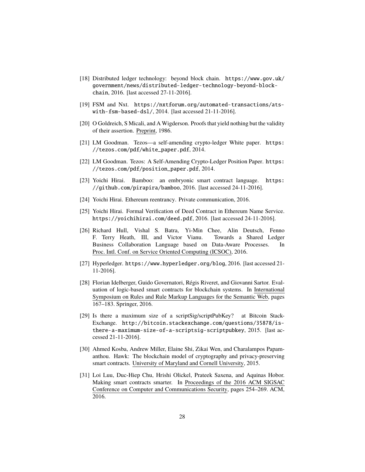- [18] Distributed ledger technology: beyond block chain. https://www.gov.uk/ government/news/distributed-ledger-technology-beyond-blockchain, 2016. [last accessed 27-11-2016].
- [19] FSM and Nxt. https://nxtforum.org/automated-transactions/atswith-fsm-based-dsl/, 2014. [last accessed 21-11-2016].
- [20] O Goldreich, S Micali, and A Wigderson. Proofs that yield nothing but the validity of their assertion. Preprint, 1986.
- [21] LM Goodman. Tezos—a self-amending crypto-ledger White paper. https: //tezos.com/pdf/white\_paper.pdf, 2014.
- [22] LM Goodman. Tezos: A Self-Amending Crypto-Ledger Position Paper. https: //tezos.com/pdf/position\_paper.pdf, 2014.
- [23] Yoichi Hirai. Bamboo: an embryonic smart contract language. https: //github.com/pirapira/bamboo, 2016. [last accessed 24-11-2016].
- [24] Yoichi Hirai. Ethereum reentrancy. Private communication, 2016.
- [25] Yoichi Hirai. Formal Verification of Deed Contract in Ethereum Name Service. https://yoichihirai.com/deed.pdf, 2016. [last accessed 24-11-2016].
- [26] Richard Hull, Vishal S. Batra, Yi-Min Chee, Alin Deutsch, Fenno F. Terry Heath, III, and Victor Vianu. Towards a Shared Ledger Business Collaboration Language based on Data-Aware Processes. In Proc. Intl. Conf. on Service Oriented Computing (ICSOC), 2016.
- [27] Hyperledger. https://www.hyperledger.org/blog, 2016. [last accessed 21- 11-2016].
- [28] Florian Idelberger, Guido Governatori, Régis Riveret, and Giovanni Sartor. Evaluation of logic-based smart contracts for blockchain systems. In International Symposium on Rules and Rule Markup Languages for the Semantic Web, pages 167–183. Springer, 2016.
- [29] Is there a maximum size of a scriptSig/scriptPubKey? at Bitcoin Stack-Exchange. http://bitcoin.stackexchange.com/questions/35878/isthere-a-maximum-size-of-a-scriptsig-scriptpubkey, 2015. [last accessed 21-11-2016].
- [30] Ahmed Kosba, Andrew Miller, Elaine Shi, Zikai Wen, and Charalampos Papamanthou. Hawk: The blockchain model of cryptography and privacy-preserving smart contracts. University of Maryland and Cornell University, 2015.
- [31] Loi Luu, Duc-Hiep Chu, Hrishi Olickel, Prateek Saxena, and Aquinas Hobor. Making smart contracts smarter. In Proceedings of the 2016 ACM SIGSAC Conference on Computer and Communications Security, pages 254–269. ACM, 2016.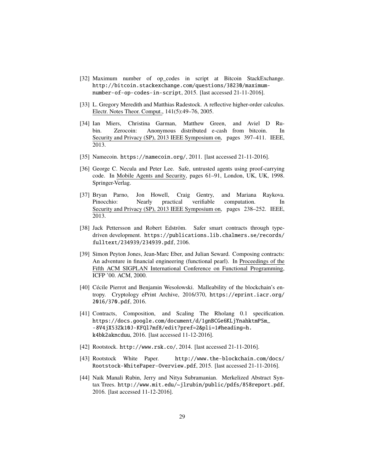- [32] Maximum number of op\_codes in script at Bitcoin StackExchange. http://bitcoin.stackexchange.com/questions/38230/maximumnumber-of-op-codes-in-script, 2015. [last accessed 21-11-2016].
- [33] L. Gregory Meredith and Matthias Radestock. A reflective higher-order calculus. Electr. Notes Theor. Comput., 141(5):49–76, 2005.
- [34] Ian Miers, Christina Garman, Matthew Green, and Aviel D Rubin. Zerocoin: Anonymous distributed e-cash from bitcoin. In Security and Privacy (SP), 2013 IEEE Symposium on, pages 397–411. IEEE, 2013.
- [35] Namecoin. https://namecoin.org/, 2011. [last accessed 21-11-2016].
- [36] George C. Necula and Peter Lee. Safe, untrusted agents using proof-carrying code. In Mobile Agents and Security, pages 61–91, London, UK, UK, 1998. Springer-Verlag.
- [37] Bryan Parno, Jon Howell, Craig Gentry, and Mariana Raykova. Pinocchio: Nearly practical verifiable computation. In Security and Privacy (SP), 2013 IEEE Symposium on, pages 238–252. IEEE, 2013.
- [38] Jack Pettersson and Robert Edström. Safer smart contracts through typedriven development. https://publications.lib.chalmers.se/records/ fulltext/234939/234939.pdf, 2106.
- [39] Simon Peyton Jones, Jean-Marc Eber, and Julian Seward. Composing contracts: An adventure in financial engineering (functional pearl). In Proceedings of the Fifth ACM SIGPLAN International Conference on Functional Programming, ICFP '00. ACM, 2000.
- [40] Cécile Pierrot and Benjamin Wesolowski. Malleability of the blockchain's entropy. Cryptology ePrint Archive, 2016/370, https://eprint.iacr.org/ 2016/370.pdf, 2016.
- [41] Contracts, Composition, and Scaling The Rholang 0.1 specification. https://docs.google.com/document/d/1gnBCGe6KLjYnahktmPSm\_ -8V4jX53Zk10J-KFQl7mf8/edit?pref=2&pli=1#heading=h. k4bk2akncduu, 2016. [last accessed 11-12-2016].
- [42] Rootstock. http://www.rsk.co/, 2014. [last accessed 21-11-2016].
- [43] Rootstock White Paper. http://www.the-blockchain.com/docs/ Rootstock-WhitePaper-Overview.pdf, 2015. [last accessed 21-11-2016].
- [44] Naik Manali Rubin, Jerry and Nitya Subramanian. Merkelized Abstract Syntax Trees. http://www.mit.edu/~jlrubin/public/pdfs/858report.pdf, 2016. [last accessed 11-12-2016].